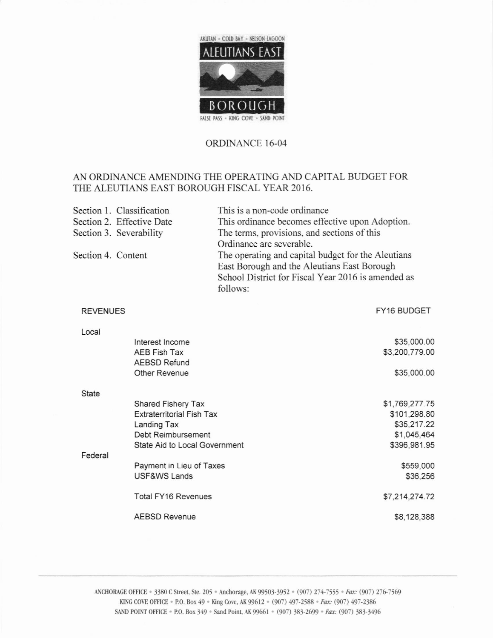

## ORDINANCE 16-04

## AN ORDINANCE AMENDING THE OPERATING AND CAPITAL BUDGET FOR THE ALEUTIANS EAST BOROUGH FISCAL YEAR 2016.

|                    | Section 1. Classification                                                    | This is a non-code ordinance                                   |  |  |
|--------------------|------------------------------------------------------------------------------|----------------------------------------------------------------|--|--|
|                    | Section 2. Effective Date<br>This ordinance becomes effective upon Adoption. |                                                                |  |  |
|                    | Section 3. Severability                                                      | The terms, provisions, and sections of this                    |  |  |
|                    |                                                                              | Ordinance are severable.                                       |  |  |
| Section 4. Content |                                                                              | The operating and capital budget for the Aleutians             |  |  |
|                    |                                                                              | East Borough and the Aleutians East Borough                    |  |  |
|                    |                                                                              | School District for Fiscal Year 2016 is amended as<br>follows: |  |  |
|                    |                                                                              |                                                                |  |  |
| <b>REVENUES</b>    |                                                                              | FY16 BUDGET                                                    |  |  |
| Local              |                                                                              |                                                                |  |  |
|                    | Interest Income                                                              | \$35,000.00                                                    |  |  |
|                    | <b>AEB Fish Tax</b>                                                          | \$3,200,779.00                                                 |  |  |
|                    | <b>AEBSD Refund</b>                                                          |                                                                |  |  |
|                    | <b>Other Revenue</b>                                                         | \$35,000.00                                                    |  |  |
| <b>State</b>       |                                                                              |                                                                |  |  |
|                    | Shared Fishery Tax                                                           | \$1,769,277.75                                                 |  |  |
|                    | <b>Extraterritorial Fish Tax</b>                                             | \$101,298.80                                                   |  |  |
|                    | Landing Tax                                                                  | \$35,217.22                                                    |  |  |
|                    | Debt Reimbursement                                                           | \$1,045,464                                                    |  |  |
| Federal            | State Aid to Local Government                                                | \$396,981.95                                                   |  |  |
|                    | Payment in Lieu of Taxes                                                     | \$559,000                                                      |  |  |
|                    | USF&WS Lands                                                                 | \$36,256                                                       |  |  |
|                    | <b>Total FY16 Revenues</b>                                                   | \$7,214,274.72                                                 |  |  |
|                    | <b>AEBSD Revenue</b>                                                         | \$8,128,388                                                    |  |  |
|                    |                                                                              |                                                                |  |  |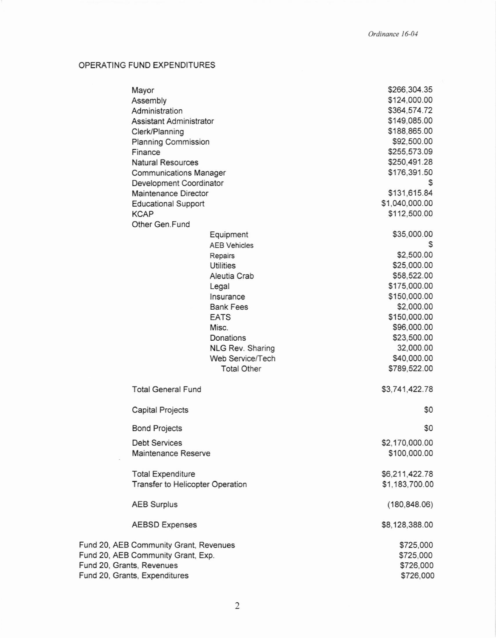## OPERATING FUND EXPENDITURES

|                                    | Mayor                                                    |                     |              | \$266,304.35   |
|------------------------------------|----------------------------------------------------------|---------------------|--------------|----------------|
|                                    | Assembly                                                 |                     |              | \$124,000.00   |
| Administration                     |                                                          |                     | \$364,574.72 |                |
| Assistant Administrator            |                                                          |                     |              | \$149,085.00   |
|                                    | Clerk/Planning                                           |                     |              | \$188,865.00   |
|                                    | Planning Commission                                      |                     |              | \$92,500.00    |
|                                    | Finance                                                  |                     |              | \$255,573.09   |
|                                    | <b>Natural Resources</b>                                 |                     |              | \$250,491.28   |
|                                    |                                                          |                     |              | \$176,391.50   |
|                                    | <b>Communications Manager</b><br>Development Coordinator |                     |              | S              |
|                                    |                                                          |                     |              | \$131,615.84   |
|                                    | Maintenance Director                                     |                     |              |                |
|                                    | <b>Educational Support</b>                               |                     |              | \$1,040,000.00 |
|                                    | <b>KCAP</b>                                              |                     |              | \$112,500.00   |
|                                    | Other Gen.Fund                                           |                     |              |                |
|                                    |                                                          | Equipment           |              | \$35,000.00    |
|                                    |                                                          | <b>AEB Vehicles</b> |              |                |
|                                    |                                                          | Repairs             |              | \$2,500.00     |
|                                    |                                                          | Utilities           |              | \$25,000.00    |
|                                    |                                                          | Aleutia Crab        |              | \$58,522.00    |
|                                    |                                                          | Legal               |              | \$175,000.00   |
|                                    |                                                          | Insurance           |              | \$150,000.00   |
|                                    |                                                          | <b>Bank Fees</b>    |              | \$2,000.00     |
|                                    |                                                          | <b>EATS</b>         |              | \$150,000.00   |
|                                    |                                                          | Misc.               |              | \$96,000.00    |
|                                    |                                                          | Donations           |              | \$23,500.00    |
|                                    |                                                          | NLG Rev. Sharing    |              | 32,000.00      |
|                                    |                                                          | Web Service/Tech    |              | \$40,000.00    |
|                                    |                                                          | <b>Total Other</b>  |              | \$789,522.00   |
|                                    |                                                          |                     |              |                |
|                                    | <b>Total General Fund</b>                                |                     |              | \$3,741,422.78 |
|                                    | <b>Capital Projects</b>                                  |                     |              | \$0            |
|                                    | <b>Bond Projects</b>                                     |                     |              | \$0            |
|                                    | <b>Debt Services</b>                                     |                     |              | \$2,170,000.00 |
|                                    | Maintenance Reserve                                      |                     |              | \$100,000.00   |
|                                    | <b>Total Expenditure</b>                                 |                     |              | \$6,211,422.78 |
|                                    | Transfer to Helicopter Operation                         |                     |              | \$1,183,700.00 |
|                                    | <b>AEB Surplus</b>                                       |                     |              | (180, 848.06)  |
|                                    | <b>AEBSD Expenses</b>                                    |                     |              | \$8,128,388.00 |
|                                    |                                                          |                     |              |                |
|                                    | Fund 20, AEB Community Grant, Revenues                   |                     |              | \$725,000      |
| Fund 20, AEB Community Grant, Exp. |                                                          |                     |              | \$725,000      |
| Fund 20, Grants, Revenues          |                                                          |                     |              | \$726,000      |
| Fund 20, Grants, Expenditures      |                                                          |                     |              | \$726,000      |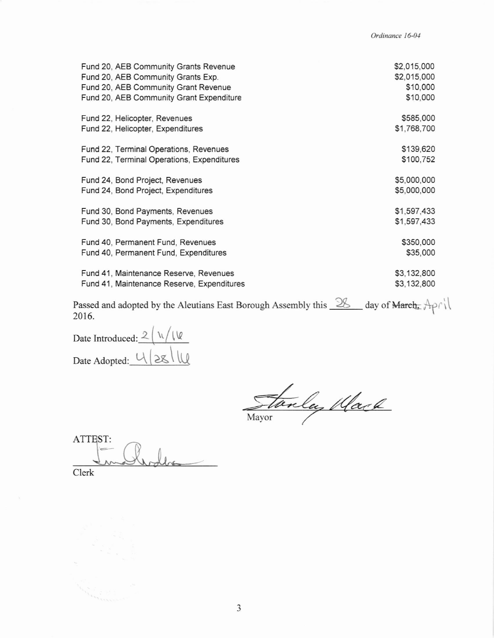Ordinance 16-04

| \$2,015,000<br>\$2,015,000<br>\$10,000<br>\$10,000 |
|----------------------------------------------------|
| \$585,000<br>\$1,768,700                           |
| \$139,620<br>\$100,752                             |
| \$5,000,000<br>\$5,000,000                         |
| \$1,597,433<br>\$1,597,433                         |
| \$350,000<br>\$35,000                              |
| \$3,132,800<br>\$3,132,800                         |
|                                                    |

Passed and adopted by the Aleutians East Borough Assembly this  $\frac{28}{\ }$  day of March,  $\text{A}\rho f$ 2016.

Date Introduced:  $2\sqrt{\sqrt{2}}$ Date Adopted: 4/28/14

Stanley Mach

ATTEST: Clerk